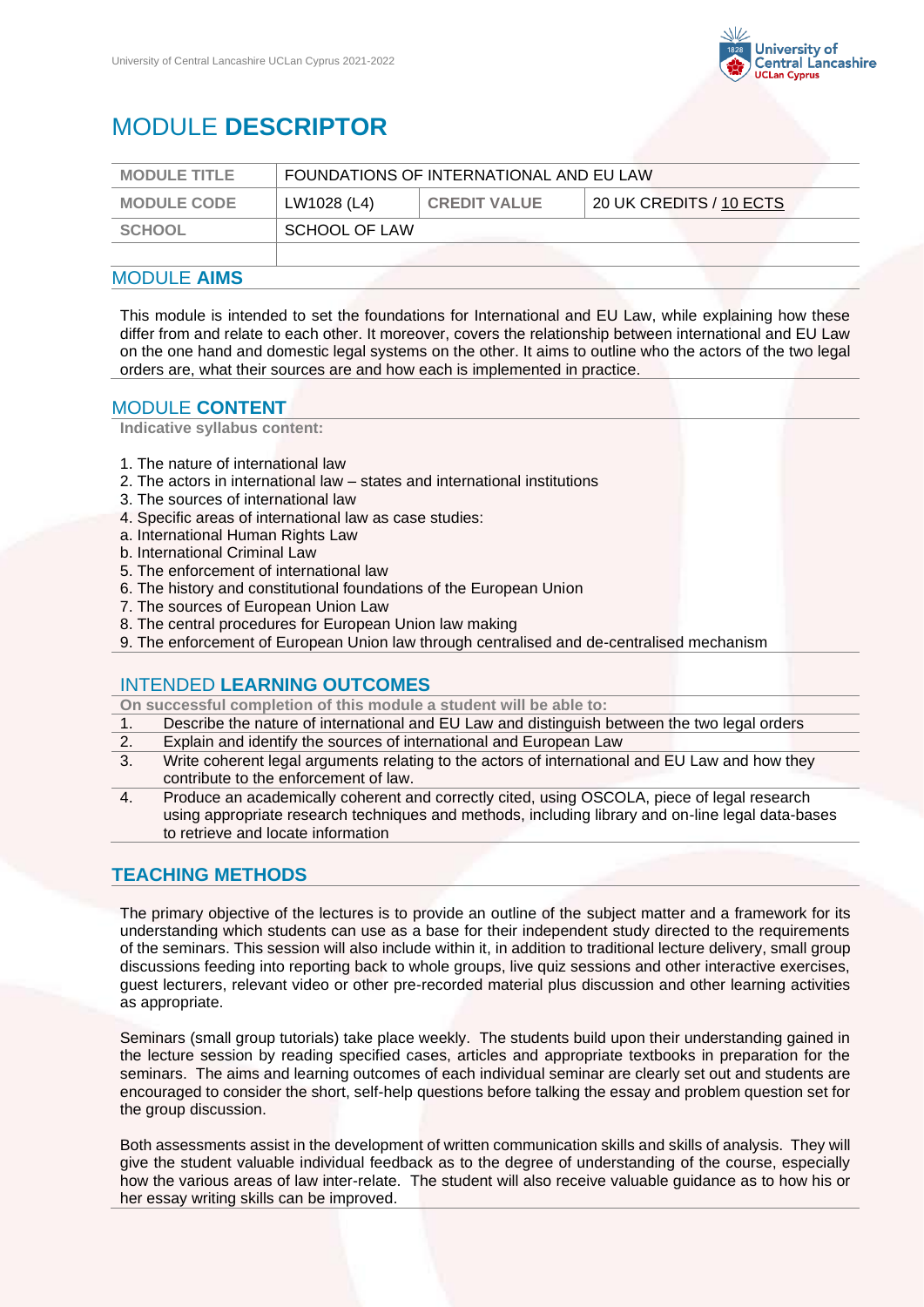

# MODULE **DESCRIPTOR**

| <b>MODULE TITLE</b> | FOUNDATIONS OF INTERNATIONAL AND EU LAW |                     |                         |
|---------------------|-----------------------------------------|---------------------|-------------------------|
| <b>MODULE CODE</b>  | LW1028 (L4)                             | <b>CREDIT VALUE</b> | 20 UK CREDITS / 10 ECTS |
| <b>SCHOOL</b>       | SCHOOL OF LAW                           |                     |                         |
|                     |                                         |                     |                         |

## MODULE **AIMS**

This module is intended to set the foundations for International and EU Law, while explaining how these differ from and relate to each other. It moreover, covers the relationship between international and EU Law on the one hand and domestic legal systems on the other. It aims to outline who the actors of the two legal orders are, what their sources are and how each is implemented in practice.

### MODULE **CONTENT**

**Indicative syllabus content:**

- 1. The nature of international law
- 2. The actors in international law states and international institutions
- 3. The sources of international law
- 4. Specific areas of international law as case studies:
- a. International Human Rights Law
- b. International Criminal Law
- 5. The enforcement of international law
- 6. The history and constitutional foundations of the European Union
- 7. The sources of European Union Law
- 8. The central procedures for European Union law making
- 9. The enforcement of European Union law through centralised and de-centralised mechanism

#### INTENDED **LEARNING OUTCOMES**

**On successful completion of this module a student will be able to:**

- 1. Describe the nature of international and EU Law and distinguish between the two legal orders
- 2. Explain and identify the sources of international and European Law
- 3. Write coherent legal arguments relating to the actors of international and EU Law and how they contribute to the enforcement of law.
- 4. Produce an academically coherent and correctly cited, using OSCOLA, piece of legal research using appropriate research techniques and methods, including library and on-line legal data-bases to retrieve and locate information

# **TEACHING METHODS**

The primary objective of the lectures is to provide an outline of the subject matter and a framework for its understanding which students can use as a base for their independent study directed to the requirements of the seminars. This session will also include within it, in addition to traditional lecture delivery, small group discussions feeding into reporting back to whole groups, live quiz sessions and other interactive exercises, guest lecturers, relevant video or other pre-recorded material plus discussion and other learning activities as appropriate.

Seminars (small group tutorials) take place weekly. The students build upon their understanding gained in the lecture session by reading specified cases, articles and appropriate textbooks in preparation for the seminars. The aims and learning outcomes of each individual seminar are clearly set out and students are encouraged to consider the short, self-help questions before talking the essay and problem question set for the group discussion.

Both assessments assist in the development of written communication skills and skills of analysis. They will give the student valuable individual feedback as to the degree of understanding of the course, especially how the various areas of law inter-relate. The student will also receive valuable guidance as to how his or her essay writing skills can be improved.